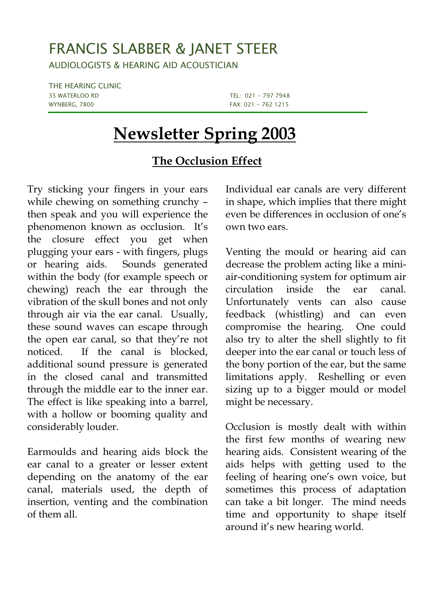## FRANCIS SLABBER & JANET STEER

AUDIOLOGISTS & HEARING AID ACOUSTICIAN

THE HEARING CLINIC 35 WATERLOO RD TEL: 021 - 797 7948 WYNBERG, 7800 **FAX: 021 - 762 1215** 

## **Newsletter Spring 2003**

## **The Occlusion Effect**

Try sticking your fingers in your ears while chewing on something crunchy – then speak and you will experience the phenomenon known as occlusion. It's the closure effect you get when plugging your ears - with fingers, plugs or hearing aids. Sounds generated within the body (for example speech or chewing) reach the ear through the vibration of the skull bones and not only through air via the ear canal. Usually, these sound waves can escape through the open ear canal, so that they're not noticed. If the canal is blocked, additional sound pressure is generated in the closed canal and transmitted through the middle ear to the inner ear. The effect is like speaking into a barrel, with a hollow or booming quality and considerably louder.

Earmoulds and hearing aids block the ear canal to a greater or lesser extent depending on the anatomy of the ear canal, materials used, the depth of insertion, venting and the combination of them all.

Individual ear canals are very different in shape, which implies that there might even be differences in occlusion of one's own two ears.

Venting the mould or hearing aid can decrease the problem acting like a miniair-conditioning system for optimum air circulation inside the ear canal. Unfortunately vents can also cause feedback (whistling) and can even compromise the hearing. One could also try to alter the shell slightly to fit deeper into the ear canal or touch less of the bony portion of the ear, but the same limitations apply. Reshelling or even sizing up to a bigger mould or model might be necessary.

Occlusion is mostly dealt with within the first few months of wearing new hearing aids. Consistent wearing of the aids helps with getting used to the feeling of hearing one's own voice, but sometimes this process of adaptation can take a bit longer. The mind needs time and opportunity to shape itself around it's new hearing world.